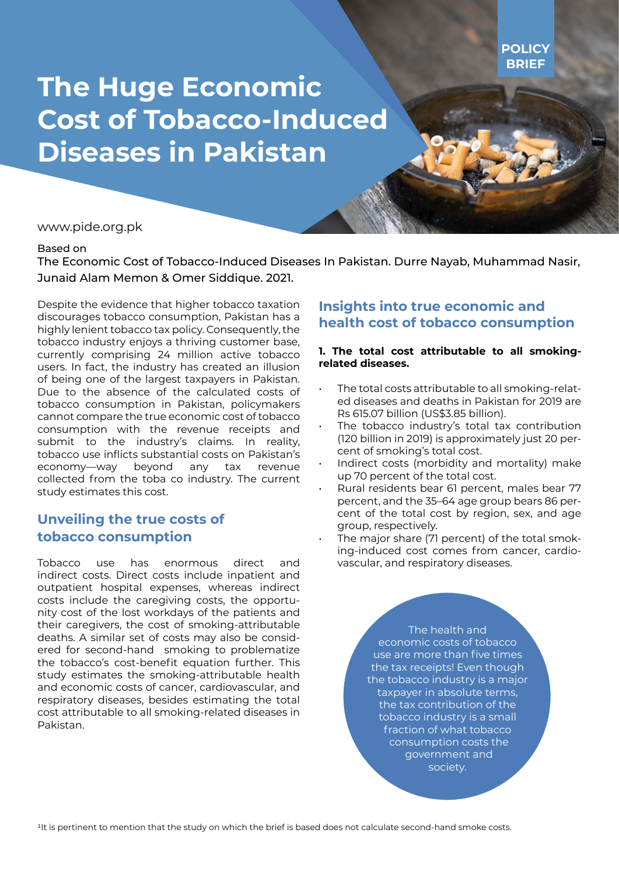# **The Huge Economic Cost of Tobacco-Induced Diseases in Pakistan**

www.pide.org.pk

#### Based on

The Economic Cost of Tobacco-Induced Diseases In Pakistan. Durre Nayab, Muhammad Nasir, Junaid Alam Memon & Omer Siddique. 2021.

Despite the evidence that higher tobacco taxation discourages tobacco consumption, Pakistan has a highly lenient tobacco tax policy. Consequently, the tobacco industry enjoys a thriving customer base, currently comprising 24 million active tobacco users. In fact, the industry has created an illusion of being one of the largest taxpayers in Pakistan. Due to the absence of the calculated costs of tobacco consumption in Pakistan, policymakers cannot compare the true economic cost of tobacco consumption with the revenue receipts and submit to the industry's claims. In reality, tobacco use inflicts substantial costs on Pakistan's economy—way beyond any tax revenue collected from the toba co industry. The current study estimates this cost.

## **Unveiling the true costs of tobacco consumption**

Tobacco use has enormous direct and indirect costs. Direct costs include inpatient and outpatient hospital expenses, whereas indirect costs include the caregiving costs, the opportunity cost of the lost workdays of the patients and their caregivers, the cost of smoking-attributable deaths. A similar set of costs may also be considered for second-hand smoking to problematize the tobacco's cost-benefit equation further. This study estimates the smoking-attributable health and economic costs of cancer, cardiovascular, and respiratory diseases, besides estimating the total cost attributable to all smoking-related diseases in Pakistan.

## **Insights into true economic and health cost of tobacco consumption**

### **1. The total cost attributable to all smokingrelated diseases.**

- The total costs attributable to all smoking-related diseases and deaths in Pakistan for 2019 are Rs 615.07 billion (US\$3.85 billion).
- The tobacco industry's total tax contribution (120 billion in 2019) is approximately just 20 percent of smoking's total cost.
- Indirect costs (morbidity and mortality) make up 70 percent of the total cost.
- Rural residents bear 61 percent, males bear 77 percent, and the 35–64 age group bears 86 percent of the total cost by region, sex, and age group, respectively.
- The major share (71 percent) of the total smoking-induced cost comes from cancer, cardiovascular, and respiratory diseases.

The health and economic costs of tobacco use are more than five times the tax receipts! Even though the tobacco industry is a major taxpayer in absolute terms, the tax contribution of the tobacco industry is a small fraction of what tobacco consumption costs the government and society.